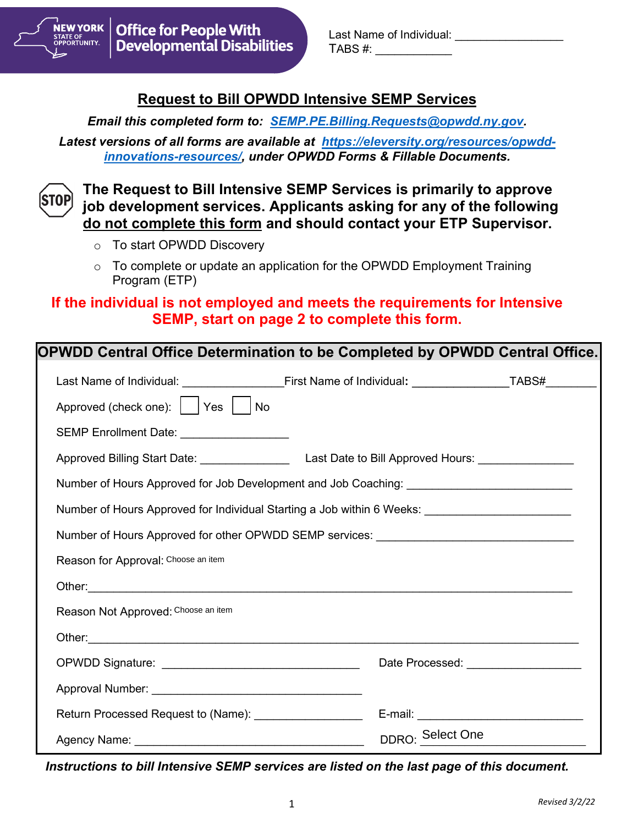

Last Name of Individual:  $TABS \#$ :

# **Request to Bill OPWDD Intensive SEMP Services**

*Email this completed form to: [SEMP.PE.Billing.Requests@opwdd.ny.gov.](mailto:SEMP.PE.Billing.Requests@opwdd.ny.gov)* 

*Latest versions of all forms are available at [https://eleversity.org/resources/opwdd](https://eleversity.org/resources/opwdd-innovations-resources/)[innovations-resources/,](https://eleversity.org/resources/opwdd-innovations-resources/) under OPWDD Forms & Fillable Documents.*



**The Request to Bill Intensive SEMP Services is primarily to approve job development services. Applicants asking for any of the following do not complete this form and should contact your ETP Supervisor.** 

- o To start OPWDD Discovery
- $\circ$  To complete or update an application for the OPWDD Employment Training Program (ETP)

## **If the individual is not employed and meets the requirements for Intensive SEMP, start on page 2 to complete this form.**

| OPWDD Central Office Determination to be Completed by OPWDD Central Office.                                                                                                                                                    |                  |                                           |
|--------------------------------------------------------------------------------------------------------------------------------------------------------------------------------------------------------------------------------|------------------|-------------------------------------------|
|                                                                                                                                                                                                                                |                  |                                           |
| Approved (check one):     Yes     No                                                                                                                                                                                           |                  |                                           |
| SEMP Enrollment Date: __________________                                                                                                                                                                                       |                  |                                           |
|                                                                                                                                                                                                                                |                  |                                           |
| Number of Hours Approved for Job Development and Job Coaching: __________________                                                                                                                                              |                  |                                           |
| Number of Hours Approved for Individual Starting a Job within 6 Weeks: ____________________________                                                                                                                            |                  |                                           |
| Number of Hours Approved for other OPWDD SEMP services: ________________________                                                                                                                                               |                  |                                           |
| Reason for Approval: Choose an item                                                                                                                                                                                            |                  |                                           |
| Other: University of the Commission of the Commission of the Commission of the Commission of the Commission of                                                                                                                 |                  |                                           |
| Reason Not Approved: Choose an item                                                                                                                                                                                            |                  |                                           |
| Other: contract the contract of the contract of the contract of the contract of the contract of the contract of the contract of the contract of the contract of the contract of the contract of the contract of the contract o |                  |                                           |
|                                                                                                                                                                                                                                |                  |                                           |
|                                                                                                                                                                                                                                |                  |                                           |
| Return Processed Request to (Name): ____________________                                                                                                                                                                       |                  | E-mail: _________________________________ |
|                                                                                                                                                                                                                                | DDRO: Select One |                                           |

*Instructions to bill Intensive SEMP services are listed on the last page of this document.*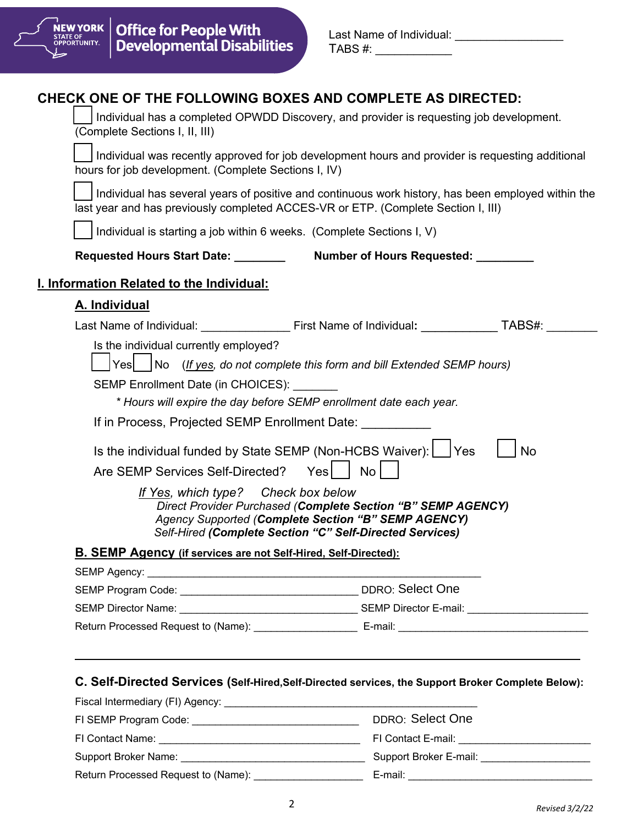

| Last Name of Individual: |  |
|--------------------------|--|
| TABS #:                  |  |

# **CHECK ONE OF THE FOLLOWING BOXES AND COMPLETE AS DIRECTED:**

|                                                                                                                                                                                                                                                                                                                                                                                                                                                                                                                                                                        |                                                                                                                                               | Individual has a completed OPWDD Discovery, and provider is requesting job development. |
|------------------------------------------------------------------------------------------------------------------------------------------------------------------------------------------------------------------------------------------------------------------------------------------------------------------------------------------------------------------------------------------------------------------------------------------------------------------------------------------------------------------------------------------------------------------------|-----------------------------------------------------------------------------------------------------------------------------------------------|-----------------------------------------------------------------------------------------|
| Individual was recently approved for job development hours and provider is requesting additional<br>hours for job development. (Complete Sections I, IV)                                                                                                                                                                                                                                                                                                                                                                                                               |                                                                                                                                               |                                                                                         |
| Individual has several years of positive and continuous work history, has been employed within the<br>last year and has previously completed ACCES-VR or ETP. (Complete Section I, III)                                                                                                                                                                                                                                                                                                                                                                                |                                                                                                                                               |                                                                                         |
| Individual is starting a job within 6 weeks. (Complete Sections I, V)                                                                                                                                                                                                                                                                                                                                                                                                                                                                                                  |                                                                                                                                               |                                                                                         |
| Requested Hours Start Date: _______                                                                                                                                                                                                                                                                                                                                                                                                                                                                                                                                    | Number of Hours Requested: ________                                                                                                           |                                                                                         |
| I. Information Related to the Individual:                                                                                                                                                                                                                                                                                                                                                                                                                                                                                                                              |                                                                                                                                               |                                                                                         |
| A. Individual                                                                                                                                                                                                                                                                                                                                                                                                                                                                                                                                                          |                                                                                                                                               |                                                                                         |
|                                                                                                                                                                                                                                                                                                                                                                                                                                                                                                                                                                        |                                                                                                                                               |                                                                                         |
| Is the individual currently employed?<br>Yes   No (If yes, do not complete this form and bill Extended SEMP hours)<br>SEMP Enrollment Date (in CHOICES):<br>* Hours will expire the day before SEMP enrollment date each year.<br>If in Process, Projected SEMP Enrollment Date:<br>Is the individual funded by State SEMP (Non-HCBS Waiver): [   Yes<br>Are SEMP Services Self-Directed?<br>If Yes, which type? Check box below<br>Self-Hired (Complete Section "C" Self-Directed Services)<br><b>B. SEMP Agency (if services are not Self-Hired, Self-Directed):</b> | No<br>Yes <sub>l</sub><br>Direct Provider Purchased (Complete Section "B" SEMP AGENCY)<br>Agency Supported (Complete Section "B" SEMP AGENCY) | No                                                                                      |
| <b>SEMP Agency:</b>                                                                                                                                                                                                                                                                                                                                                                                                                                                                                                                                                    |                                                                                                                                               |                                                                                         |
|                                                                                                                                                                                                                                                                                                                                                                                                                                                                                                                                                                        |                                                                                                                                               |                                                                                         |
|                                                                                                                                                                                                                                                                                                                                                                                                                                                                                                                                                                        |                                                                                                                                               |                                                                                         |
|                                                                                                                                                                                                                                                                                                                                                                                                                                                                                                                                                                        |                                                                                                                                               |                                                                                         |

| DDRO: Select One       |
|------------------------|
| FI Contact E-mail:     |
| Support Broker E-mail: |
| E-mail:                |
|                        |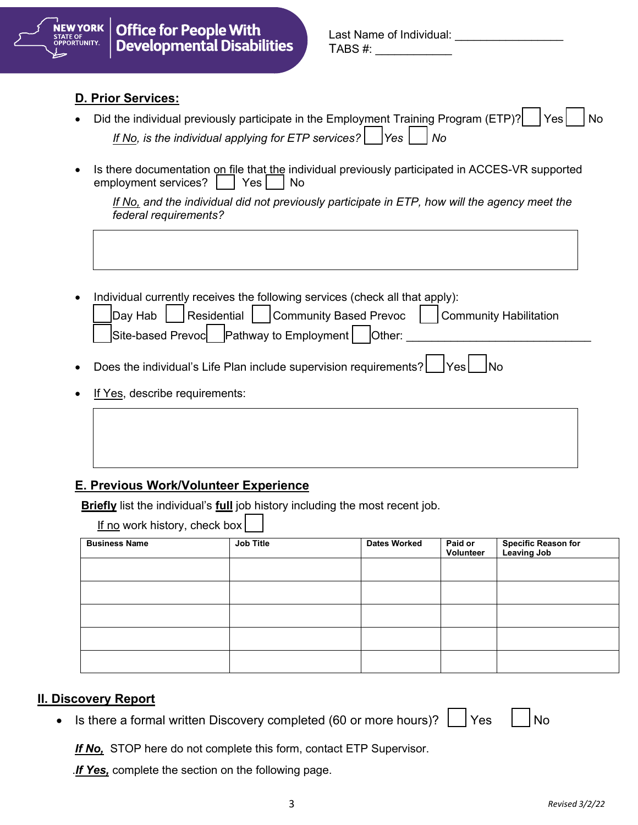

| Last Name of Individual: |  |
|--------------------------|--|
| TABS #:                  |  |

#### **D. Prior Services:**

- Did the individual previously participate in the Employment Training Program (ETP)?  $\vert$  Yes  $\vert$  No *If No, is the individual applying for ETP services?* |  $\vert$  Yes | | No
- Is there documentation on file that the individual previously participated in ACCES-VR supported employment services?  $\vert$   $\vert$  Yes  $\vert$  No

*If No, and the individual did not previously participate in ETP, how will the agency meet the federal requirements?* 

• Individual currently receives the following services (check all that apply):

|  |  | $\vert$ Day Hab $\vert$ Residential $\vert$ Community Based Prevoc $\vert$ Community Habilitation |  |
|--|--|---------------------------------------------------------------------------------------------------|--|
|  |  | Site-based Prevoc Pathway to Employment   Other:                                                  |  |

- Does the individual's Life Plan include supervision requirements?  $|$   $|$  Yes  $|$   $|$  No
- If Yes, describe requirements:

## **E. Previous Work/Volunteer Experience**

**Briefly** list the individual's **full** job history including the most recent job.

| $lf no work history, check boxl$ |           |                     |                      |                                           |  |  |
|----------------------------------|-----------|---------------------|----------------------|-------------------------------------------|--|--|
| <b>Business Name</b>             | Job Title | <b>Dates Worked</b> | Paid or<br>Volunteer | <b>Specific Reason for</b><br>Leaving Job |  |  |
|                                  |           |                     |                      |                                           |  |  |
|                                  |           |                     |                      |                                           |  |  |
|                                  |           |                     |                      |                                           |  |  |
|                                  |           |                     |                      |                                           |  |  |
|                                  |           |                     |                      |                                           |  |  |

### **II. Discovery Report**

• Is there a formal written Discovery completed (60 or more hours)?  $\Box$  Yes  $\Box$  No

*If No,* STOP here do not complete this form, contact ETP Supervisor.

.*If Yes,* complete the section on the following page.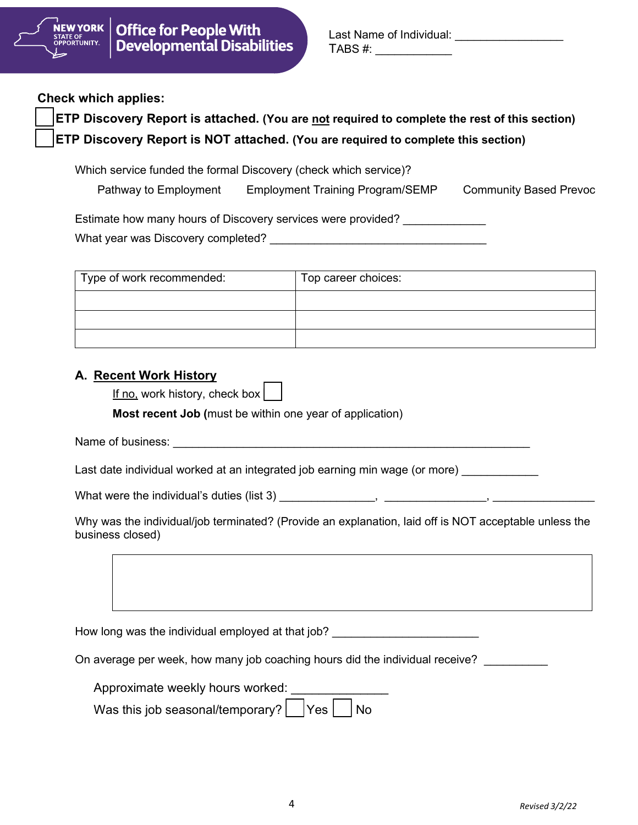

| Last Name of Individual: |  |
|--------------------------|--|
| TABS #:                  |  |

**Check which applies:** 

| <b>ETP Discovery Report is attached.</b> (You are not required to complete the rest of this section) |
|------------------------------------------------------------------------------------------------------|
| <b>ETP Discovery Report is NOT attached.</b> (You are required to complete this section)             |

Which service funded the formal Discovery (check which service)?

| Pathway to Employment | <b>Employment Training Program/SEMP</b> | <b>Community Based Prevoc</b> |
|-----------------------|-----------------------------------------|-------------------------------|
|-----------------------|-----------------------------------------|-------------------------------|

Estimate how many hours of Discovery services were provided? What year was Discovery completed? What year was Discovery completed?

| Type of work recommended: | Top career choices: |
|---------------------------|---------------------|
|                           |                     |
|                           |                     |
|                           |                     |

## **A. Recent Work History**

| <u>If no,</u> work history, check box $\vert$ |  |  |  |  |  |  |
|-----------------------------------------------|--|--|--|--|--|--|
|-----------------------------------------------|--|--|--|--|--|--|

**Most recent Job (**must be within one year of application)

Name of business: example and the set of the set of the set of the set of the set of the set of the set of the set of the set of the set of the set of the set of the set of the set of the set of the set of the set of the s

Last date individual worked at an integrated job earning min wage (or more)

What were the individual's duties (list 3) \_\_\_\_\_\_\_\_\_\_\_\_\_\_\_, \_\_\_\_\_\_\_\_\_\_\_\_\_\_\_\_, \_\_\_\_\_\_\_\_\_\_\_\_\_\_\_\_

Why was the individual/job terminated? (Provide an explanation, laid off is NOT acceptable unless the business closed)

How long was the individual employed at that job? \_\_\_\_\_\_\_\_\_\_\_\_\_\_\_\_\_\_\_\_\_\_\_\_\_\_\_\_\_\_

On average per week, how many job coaching hours did the individual receive?

| Approximate weekly hours worked: |                                                         |  |  |  |  |  |  |
|----------------------------------|---------------------------------------------------------|--|--|--|--|--|--|
|                                  | Was this job seasonal/temporary? $ $ $ $ Yes $ $ $ $ No |  |  |  |  |  |  |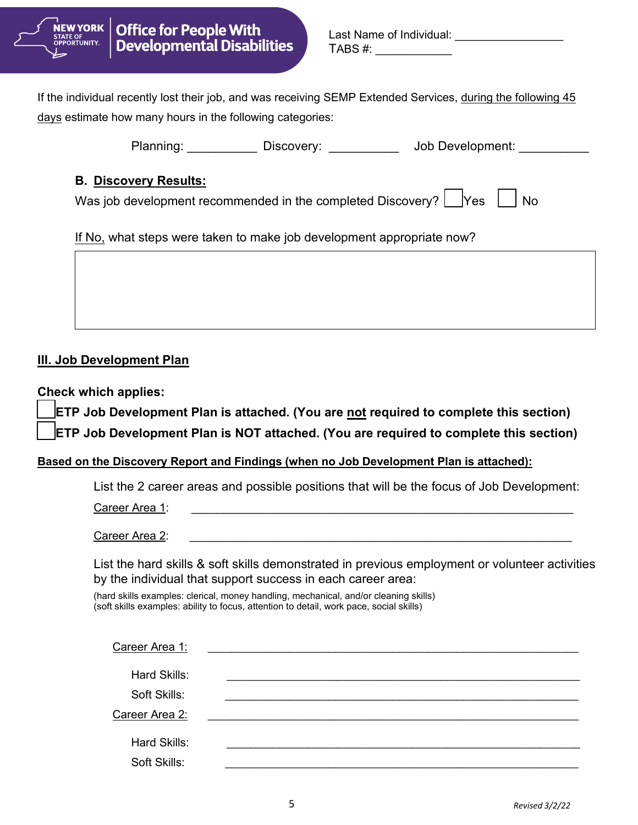

| Last Name of Individual: |  |
|--------------------------|--|
| TABS #:                  |  |

If the individual recently lost their job, and was receiving SEMP Extended Services, during the following 45 days estimate how many hours in the following categories:

Planning: etc. Discovery: blood Development:  $\sim$  Job Development:

## **B. Discovery Results:**

Was job development recommended in the completed Discovery?  $\Box$  Yes  $\Box$  No

If No, what steps were taken to make job development appropriate now?

## **III. Job Development Plan**

**Check which applies:** 

**ETP Job Development Plan is attached. (You are not required to complete this section)**

**ETP Job Development Plan is NOT attached. (You are required to complete this section)**

### **Based on the Discovery Report and Findings (when no Job Development Plan is attached):**

List the 2 career areas and possible positions that will be the focus of Job Development:

Career Area 1: \_\_\_\_\_\_\_\_\_\_\_\_\_\_\_\_\_\_\_\_\_\_\_\_\_\_\_\_\_\_\_\_\_\_\_\_\_\_\_\_\_\_\_\_\_\_\_\_\_\_\_\_\_\_\_\_\_\_\_\_

Career Area 2:

List the hard skills & soft skills demonstrated in previous employment or volunteer activities by the individual that support success in each career area:

(hard skills examples: clerical, money handling, mechanical, and/or cleaning skills) (soft skills examples: ability to focus, attention to detail, work pace, social skills)

| Career Area 1:               |  |
|------------------------------|--|
| Hard Skills:                 |  |
| Soft Skills:                 |  |
| Career Area 2:               |  |
| Hard Skills:<br>Soft Skills: |  |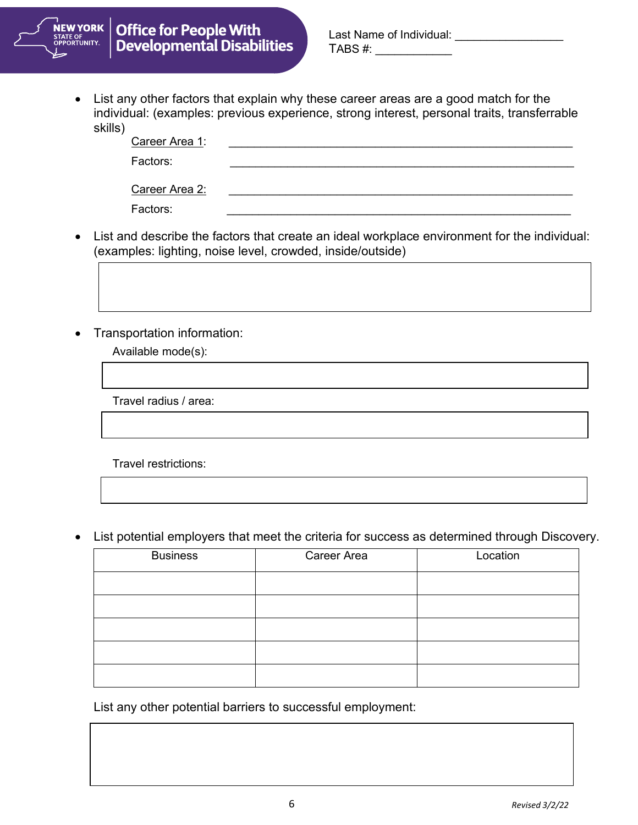

• List any other factors that explain why these career areas are a good match for the individual: (examples: previous experience, strong interest, personal traits, transferrable skills)

| Career Area 1: |  |
|----------------|--|
| Factors:       |  |
| Career Area 2: |  |
| Factors:       |  |

- List and describe the factors that create an ideal workplace environment for the individual: (examples: lighting, noise level, crowded, inside/outside)
- Transportation information:

Available mode(s):

Travel radius / area:

• List potential employers that meet the criteria for success as determined through Discovery.

| <b>Business</b> | Career Area | Location |
|-----------------|-------------|----------|
|                 |             |          |
|                 |             |          |
|                 |             |          |
|                 |             |          |
|                 |             |          |

List any other potential barriers to successful employment: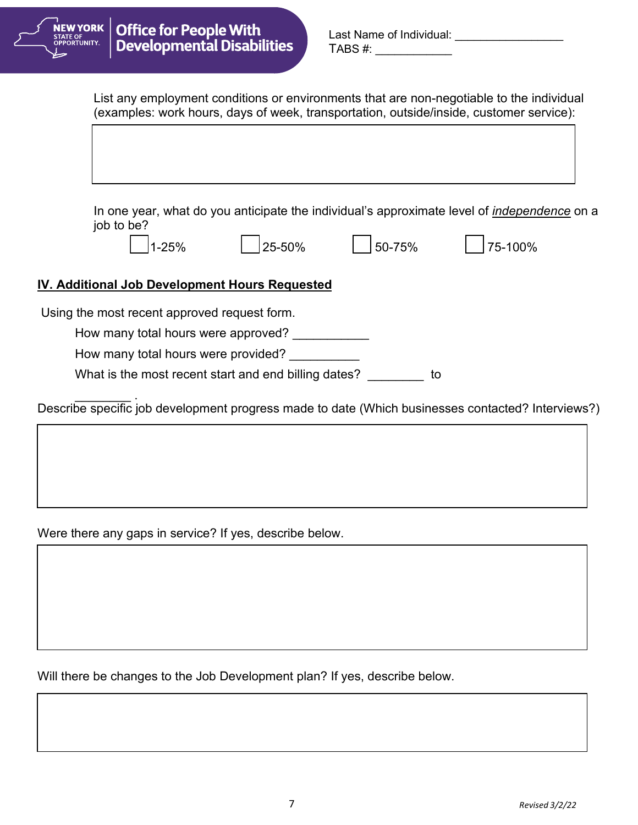

| Last Name of Individual: |  |
|--------------------------|--|
| TABS #:                  |  |

List any employment conditions or environments that are non-negotiable to the individual (examples: work hours, days of week, transportation, outside/inside, customer service):

In one year, what do you anticipate the individual's approximate level of *independence* on a job to be?

| 1-25% |  |  |
|-------|--|--|
|-------|--|--|



1-25% 25-50% 50-75% 75-100%

## **IV. Additional Job Development Hours Requested**

Using the most recent approved request form.

How many total hours were approved? \_\_\_\_\_\_\_\_\_\_\_

How many total hours were provided?

What is the most recent start and end billing dates?

 $\overline{\phantom{a}}$  . Describe specific job development progress made to date (Which businesses contacted? Interviews?)

Were there any gaps in service? If yes, describe below.

Will there be changes to the Job Development plan? If yes, describe below.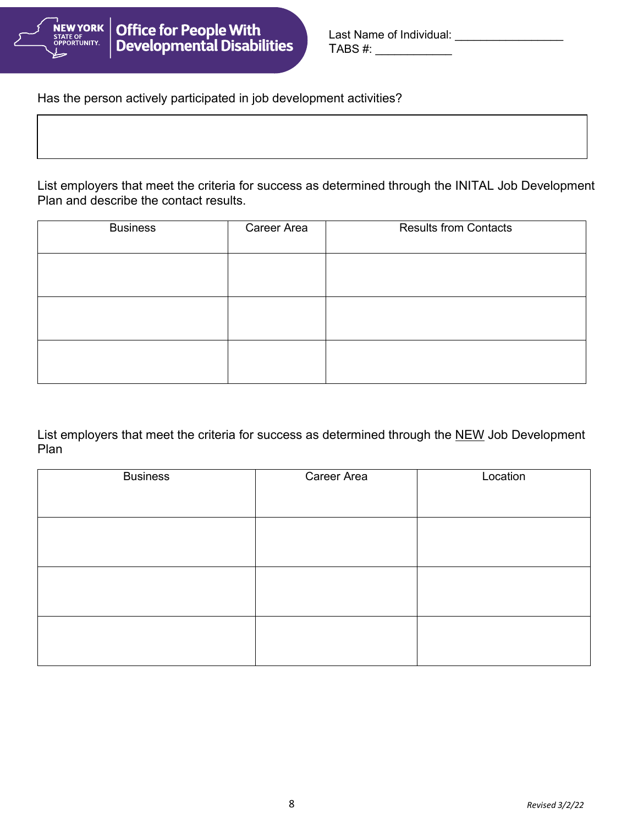

| Last Name of Individual: |  |
|--------------------------|--|
| TABS #:                  |  |

Has the person actively participated in job development activities?

List employers that meet the criteria for success as determined through the INITAL Job Development Plan and describe the contact results.

| <b>Business</b> | Career Area | <b>Results from Contacts</b> |
|-----------------|-------------|------------------------------|
|                 |             |                              |
|                 |             |                              |
|                 |             |                              |

List employers that meet the criteria for success as determined through the NEW Job Development Plan

| <b>Business</b> | Career Area | Location |
|-----------------|-------------|----------|
|                 |             |          |
|                 |             |          |
|                 |             |          |
|                 |             |          |
|                 |             |          |
|                 |             |          |
|                 |             |          |
|                 |             |          |
|                 |             |          |
|                 |             |          |
|                 |             |          |